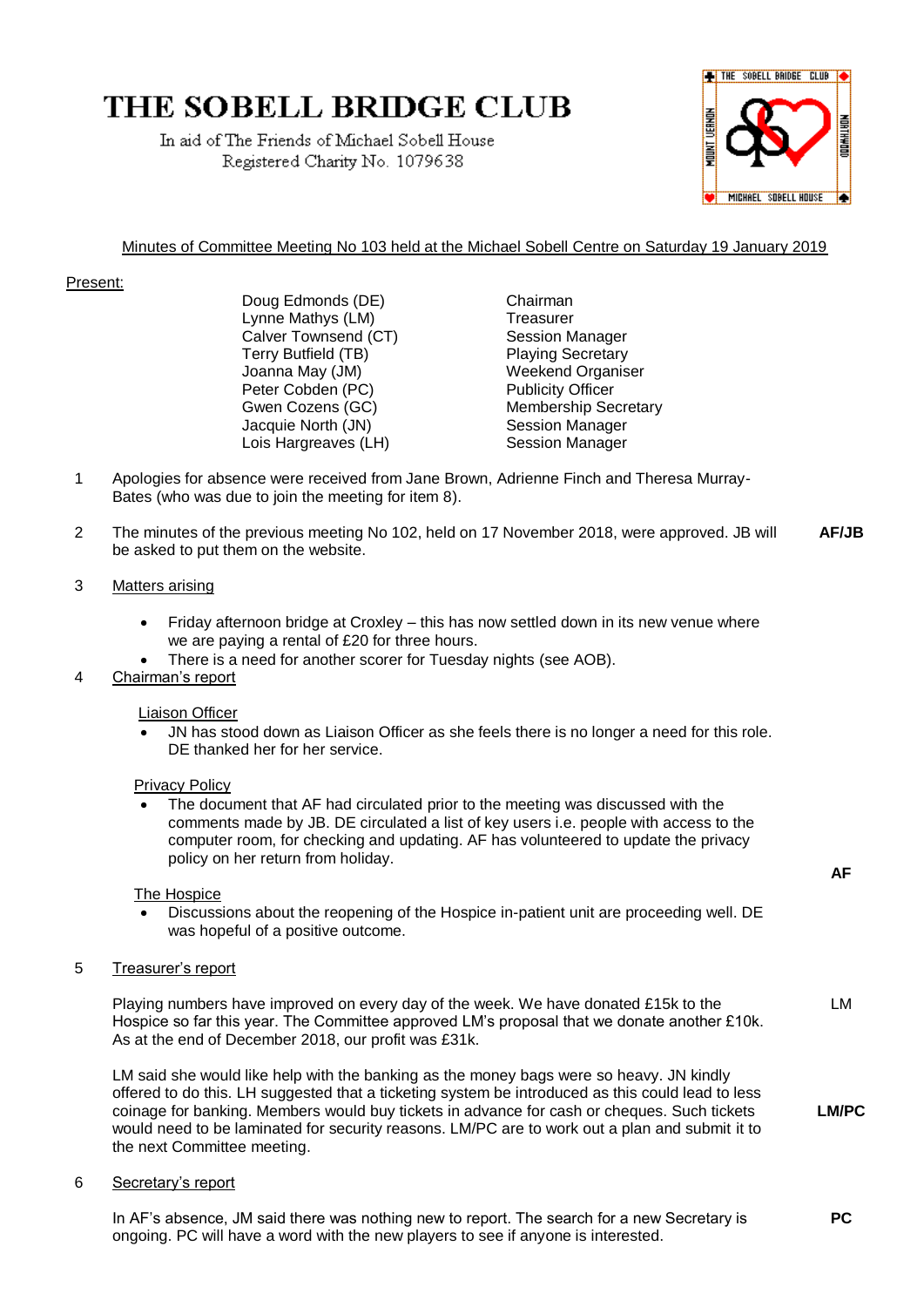# **THE SOBELL BRIDGE CLUB**

In aid of The Friends of Michael Sobell House Registered Charity No. 1079638



# Minutes of Committee Meeting No 103 held at the Michael Sobell Centre on Saturday 19 January 2019

## Present:

Doug Edmonds (DE) Chairman Lynne Mathys (LM) Treasurer Calver Townsend (CT) Session Manager Terry Butfield (TB) 77 Playing Secretary Joanna May (JM) Weekend Organiser<br>
Peter Cobden (PC) Publicity Officer Peter Cobden (PC) Gwen Cozens (GC) Membership Secretary Jacquie North (JN) Session Manager Lois Hargreaves (LH) Session Manager

- 1 Apologies for absence were received from Jane Brown, Adrienne Finch and Theresa Murray-Bates (who was due to join the meeting for item 8).
- 2 The minutes of the previous meeting No 102, held on 17 November 2018, were approved. JB will be asked to put them on the website. **AF/JB**

## 3 Matters arising

- Friday afternoon bridge at Croxley this has now settled down in its new venue where we are paying a rental of £20 for three hours.
- There is a need for another scorer for Tuesday nights (see AOB).

## 4 Chairman's report

### Liaison Officer

• JN has stood down as Liaison Officer as she feels there is no longer a need for this role. DE thanked her for her service.

### Privacy Policy

The document that AF had circulated prior to the meeting was discussed with the comments made by JB. DE circulated a list of key users i.e. people with access to the computer room, for checking and updating. AF has volunteered to update the privacy policy on her return from holiday.

The Hospice

• Discussions about the reopening of the Hospice in-patient unit are proceeding well. DE was hopeful of a positive outcome.

## 5 Treasurer's report

Playing numbers have improved on every day of the week. We have donated £15k to the Hospice so far this year. The Committee approved LM's proposal that we donate another £10k. As at the end of December 2018, our profit was £31k.

LM said she would like help with the banking as the money bags were so heavy. JN kindly offered to do this. LH suggested that a ticketing system be introduced as this could lead to less coinage for banking. Members would buy tickets in advance for cash or cheques. Such tickets would need to be laminated for security reasons. LM/PC are to work out a plan and submit it to the next Committee meeting.

6 Secretary's report

In AF's absence, JM said there was nothing new to report. The search for a new Secretary is ongoing. PC will have a word with the new players to see if anyone is interested.

**AF**

**LM/PC**

**PC**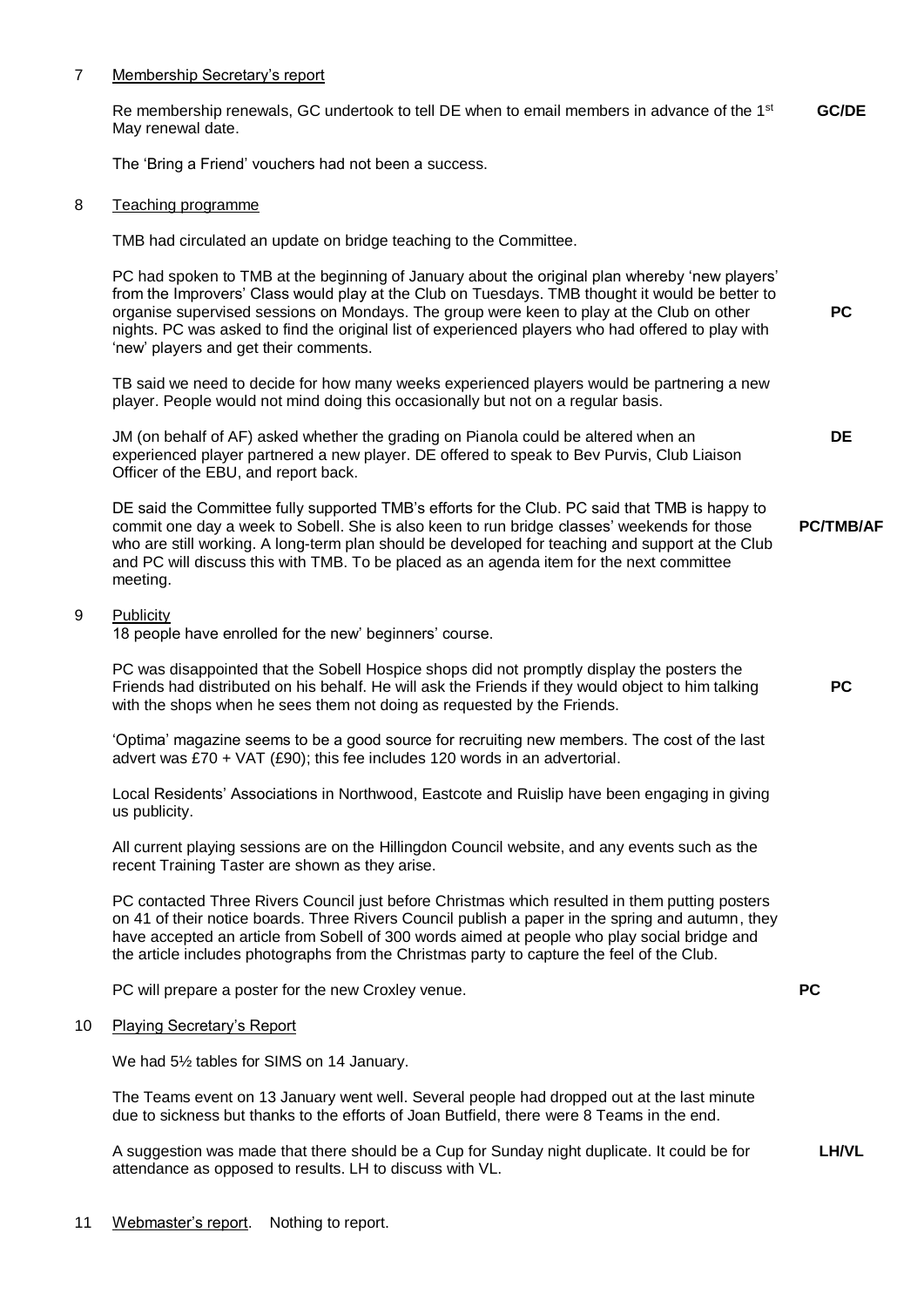#### 7 Membership Secretary's report

Re membership renewals, GC undertook to tell DE when to email members in advance of the 1<sup>st</sup> May renewal date. **GC/DE**

The 'Bring a Friend' vouchers had not been a success.

#### 8 Teaching programme

TMB had circulated an update on bridge teaching to the Committee.

PC had spoken to TMB at the beginning of January about the original plan whereby 'new players' from the Improvers' Class would play at the Club on Tuesdays. TMB thought it would be better to organise supervised sessions on Mondays. The group were keen to play at the Club on other nights. PC was asked to find the original list of experienced players who had offered to play with 'new' players and get their comments.

TB said we need to decide for how many weeks experienced players would be partnering a new player. People would not mind doing this occasionally but not on a regular basis.

JM (on behalf of AF) asked whether the grading on Pianola could be altered when an experienced player partnered a new player. DE offered to speak to Bev Purvis, Club Liaison Officer of the EBU, and report back.

DE said the Committee fully supported TMB's efforts for the Club. PC said that TMB is happy to commit one day a week to Sobell. She is also keen to run bridge classes' weekends for those who are still working. A long-term plan should be developed for teaching and support at the Club and PC will discuss this with TMB. To be placed as an agenda item for the next committee meeting. **PC/TMB/AF**

#### 9 Publicity

18 people have enrolled for the new' beginners' course.

PC was disappointed that the Sobell Hospice shops did not promptly display the posters the Friends had distributed on his behalf. He will ask the Friends if they would object to him talking with the shops when he sees them not doing as requested by the Friends.

'Optima' magazine seems to be a good source for recruiting new members. The cost of the last advert was  $£70 + VAT$  (£90); this fee includes 120 words in an advertorial.

Local Residents' Associations in Northwood, Eastcote and Ruislip have been engaging in giving us publicity.

All current playing sessions are on the Hillingdon Council website, and any events such as the recent Training Taster are shown as they arise.

PC contacted Three Rivers Council just before Christmas which resulted in them putting posters on 41 of their notice boards. Three Rivers Council publish a paper in the spring and autumn, they have accepted an article from Sobell of 300 words aimed at people who play social bridge and the article includes photographs from the Christmas party to capture the feel of the Club.

PC will prepare a poster for the new Croxley venue.

#### 10 Playing Secretary's Report

We had 5½ tables for SIMS on 14 January.

The Teams event on 13 January went well. Several people had dropped out at the last minute due to sickness but thanks to the efforts of Joan Butfield, there were 8 Teams in the end.

A suggestion was made that there should be a Cup for Sunday night duplicate. It could be for attendance as opposed to results. LH to discuss with VL.

**PC**

**PC**

**DE**

**PC**

**LH/VL**